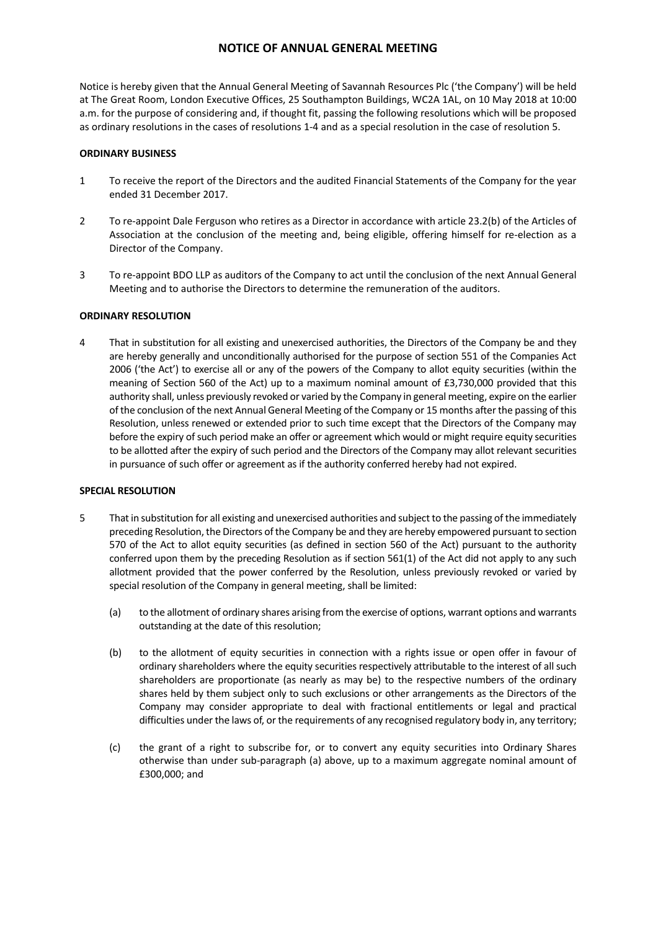Notice is hereby given that the Annual General Meeting of Savannah Resources Plc ('the Company') will be held at The Great Room, London Executive Offices, 25 Southampton Buildings, WC2A 1AL, on 10 May 2018 at 10:00 a.m. for the purpose of considering and, if thought fit, passing the following resolutions which will be proposed as ordinary resolutions in the cases of resolutions 1-4 and as a special resolution in the case of resolution 5.

## **ORDINARY BUSINESS**

- 1 To receive the report of the Directors and the audited Financial Statements of the Company for the year ended 31 December 2017.
- 2 To re-appoint Dale Ferguson who retires as a Director in accordance with article 23.2(b) of the Articles of Association at the conclusion of the meeting and, being eligible, offering himself for re-election as a Director of the Company.
- 3 To re-appoint BDO LLP as auditors of the Company to act until the conclusion of the next Annual General Meeting and to authorise the Directors to determine the remuneration of the auditors.

## **ORDINARY RESOLUTION**

4 That in substitution for all existing and unexercised authorities, the Directors of the Company be and they are hereby generally and unconditionally authorised for the purpose of section 551 of the Companies Act 2006 ('the Act') to exercise all or any of the powers of the Company to allot equity securities (within the meaning of Section 560 of the Act) up to a maximum nominal amount of £3,730,000 provided that this authority shall, unless previously revoked or varied by the Company in general meeting, expire on the earlier of the conclusion of the next Annual General Meeting of the Company or 15 months after the passing of this Resolution, unless renewed or extended prior to such time except that the Directors of the Company may before the expiry of such period make an offer or agreement which would or might require equity securities to be allotted after the expiry of such period and the Directors of the Company may allot relevant securities in pursuance of such offer or agreement as if the authority conferred hereby had not expired.

## **SPECIAL RESOLUTION**

- 5 That in substitution for all existing and unexercised authorities and subject to the passing of the immediately preceding Resolution, the Directors of the Company be and they are hereby empowered pursuant to section 570 of the Act to allot equity securities (as defined in section 560 of the Act) pursuant to the authority conferred upon them by the preceding Resolution as if section 561(1) of the Act did not apply to any such allotment provided that the power conferred by the Resolution, unless previously revoked or varied by special resolution of the Company in general meeting, shall be limited:
	- (a) to the allotment of ordinary shares arising from the exercise of options, warrant options and warrants outstanding at the date of this resolution;
	- (b) to the allotment of equity securities in connection with a rights issue or open offer in favour of ordinary shareholders where the equity securities respectively attributable to the interest of all such shareholders are proportionate (as nearly as may be) to the respective numbers of the ordinary shares held by them subject only to such exclusions or other arrangements as the Directors of the Company may consider appropriate to deal with fractional entitlements or legal and practical difficulties under the laws of, or the requirements of any recognised regulatory body in, any territory;
	- (c) the grant of a right to subscribe for, or to convert any equity securities into Ordinary Shares otherwise than under sub-paragraph (a) above, up to a maximum aggregate nominal amount of £300,000; and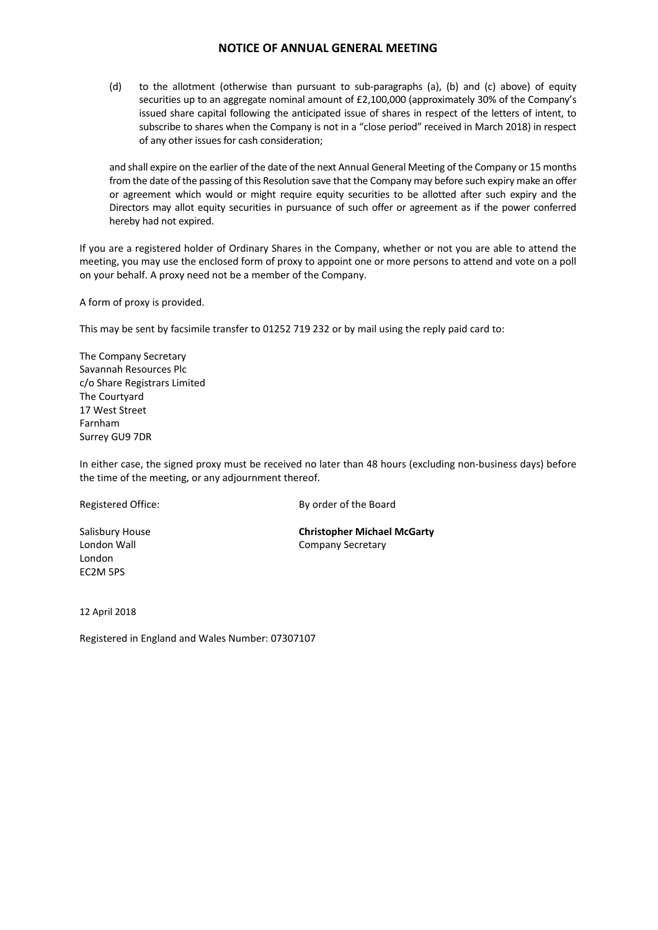(d) to the allotment (otherwise than pursuant to sub-paragraphs (a), (b) and (c) above) of equity securities up to an aggregate nominal amount of £2,100,000 (approximately 30% of the Company's issued share capital following the anticipated issue of shares in respect of the letters of intent, to subscribe to shares when the Company is not in a "close period" received in March 2018) in respect of any other issues for cash consideration;

and shall expire on the earlier of the date of the next Annual General Meeting of the Company or 15 months from the date of the passing of this Resolution save that the Company may before such expiry make an offer or agreement which would or might require equity securities to be allotted after such expiry and the Directors may allot equity securities in pursuance of such offer or agreement as if the power conferred hereby had not expired.

If you are a registered holder of Ordinary Shares in the Company, whether or not you are able to attend the meeting, you may use the enclosed form of proxy to appoint one or more persons to attend and vote on a poll on your behalf. A proxy need not be a member of the Company.

A form of proxy is provided.

This may be sent by facsimile transfer to 01252 719 232 or by mail using the reply paid card to:

The Company Secretary Savannah Resources Plc c/o Share Registrars Limited The Courtyard 17 West Street Farnham Surrey GU9 7DR

In either case, the signed proxy must be received no later than 48 hours (excluding non-business days) before the time of the meeting, or any adjournment thereof.

London EC2M 5PS

Registered Office: By order of the Board

Salisbury House **Christopher Michael McGarty** London Wall **Company Secretary** 

12 April 2018

Registered in England and Wales Number: 07307107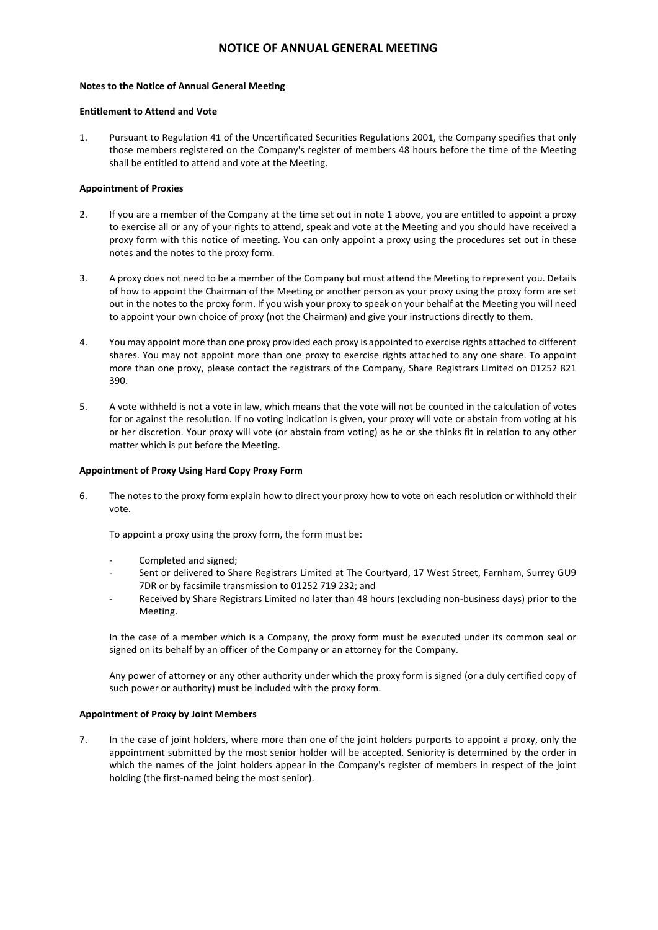### **Notes to the Notice of Annual General Meeting**

#### **Entitlement to Attend and Vote**

1. Pursuant to Regulation 41 of the Uncertificated Securities Regulations 2001, the Company specifies that only those members registered on the Company's register of members 48 hours before the time of the Meeting shall be entitled to attend and vote at the Meeting.

### **Appointment of Proxies**

- 2. If you are a member of the Company at the time set out in note 1 above, you are entitled to appoint a proxy to exercise all or any of your rights to attend, speak and vote at the Meeting and you should have received a proxy form with this notice of meeting. You can only appoint a proxy using the procedures set out in these notes and the notes to the proxy form.
- 3. A proxy does not need to be a member of the Company but must attend the Meeting to represent you. Details of how to appoint the Chairman of the Meeting or another person as your proxy using the proxy form are set out in the notes to the proxy form. If you wish your proxy to speak on your behalf at the Meeting you will need to appoint your own choice of proxy (not the Chairman) and give your instructions directly to them.
- 4. You may appoint more than one proxy provided each proxy is appointed to exercise rights attached to different shares. You may not appoint more than one proxy to exercise rights attached to any one share. To appoint more than one proxy, please contact the registrars of the Company, Share Registrars Limited on 01252 821 390.
- 5. A vote withheld is not a vote in law, which means that the vote will not be counted in the calculation of votes for or against the resolution. If no voting indication is given, your proxy will vote or abstain from voting at his or her discretion. Your proxy will vote (or abstain from voting) as he or she thinks fit in relation to any other matter which is put before the Meeting.

### **Appointment of Proxy Using Hard Copy Proxy Form**

6. The notes to the proxy form explain how to direct your proxy how to vote on each resolution or withhold their vote.

To appoint a proxy using the proxy form, the form must be:

- Completed and signed;
- Sent or delivered to Share Registrars Limited at The Courtyard, 17 West Street, Farnham, Surrey GU9 7DR or by facsimile transmission to 01252 719 232; and
- Received by Share Registrars Limited no later than 48 hours (excluding non-business days) prior to the Meeting.

In the case of a member which is a Company, the proxy form must be executed under its common seal or signed on its behalf by an officer of the Company or an attorney for the Company.

Any power of attorney or any other authority under which the proxy form is signed (or a duly certified copy of such power or authority) must be included with the proxy form.

### **Appointment of Proxy by Joint Members**

7. In the case of joint holders, where more than one of the joint holders purports to appoint a proxy, only the appointment submitted by the most senior holder will be accepted. Seniority is determined by the order in which the names of the joint holders appear in the Company's register of members in respect of the joint holding (the first-named being the most senior).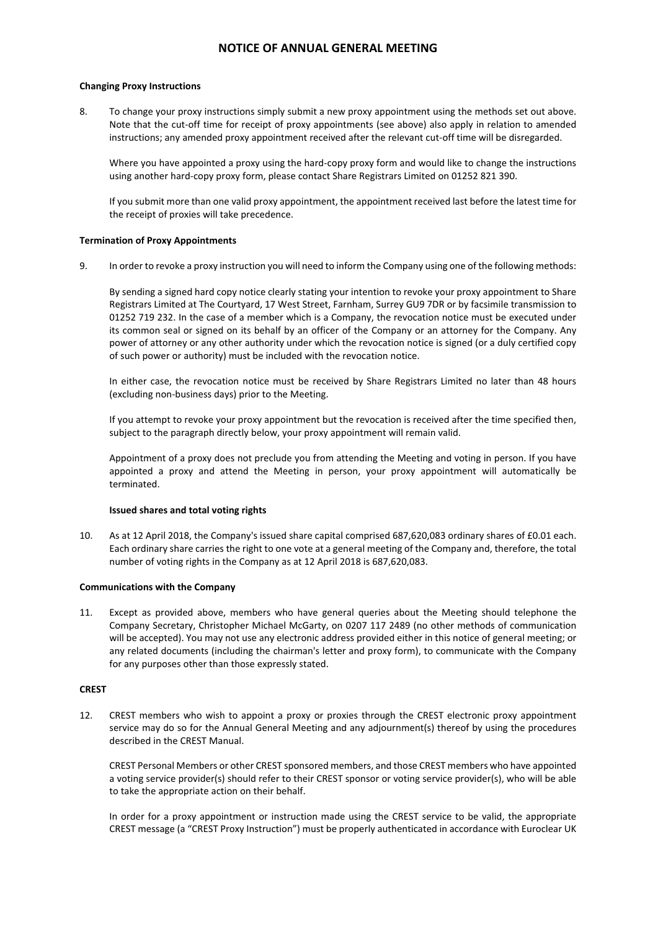### **Changing Proxy Instructions**

8. To change your proxy instructions simply submit a new proxy appointment using the methods set out above. Note that the cut-off time for receipt of proxy appointments (see above) also apply in relation to amended instructions; any amended proxy appointment received after the relevant cut-off time will be disregarded.

Where you have appointed a proxy using the hard-copy proxy form and would like to change the instructions using another hard-copy proxy form, please contact Share Registrars Limited on 01252 821 390.

If you submit more than one valid proxy appointment, the appointment received last before the latest time for the receipt of proxies will take precedence.

#### **Termination of Proxy Appointments**

9. In order to revoke a proxy instruction you will need to inform the Company using one of the following methods:

By sending a signed hard copy notice clearly stating your intention to revoke your proxy appointment to Share Registrars Limited at The Courtyard, 17 West Street, Farnham, Surrey GU9 7DR or by facsimile transmission to 01252 719 232. In the case of a member which is a Company, the revocation notice must be executed under its common seal or signed on its behalf by an officer of the Company or an attorney for the Company. Any power of attorney or any other authority under which the revocation notice is signed (or a duly certified copy of such power or authority) must be included with the revocation notice.

In either case, the revocation notice must be received by Share Registrars Limited no later than 48 hours (excluding non-business days) prior to the Meeting.

If you attempt to revoke your proxy appointment but the revocation is received after the time specified then, subject to the paragraph directly below, your proxy appointment will remain valid.

Appointment of a proxy does not preclude you from attending the Meeting and voting in person. If you have appointed a proxy and attend the Meeting in person, your proxy appointment will automatically be terminated.

#### **Issued shares and total voting rights**

10. As at 12 April 2018, the Company's issued share capital comprised 687,620,083 ordinary shares of £0.01 each. Each ordinary share carries the right to one vote at a general meeting of the Company and, therefore, the total number of voting rights in the Company as at 12 April 2018 is 687,620,083.

#### **Communications with the Company**

11. Except as provided above, members who have general queries about the Meeting should telephone the Company Secretary, Christopher Michael McGarty, on 0207 117 2489 (no other methods of communication will be accepted). You may not use any electronic address provided either in this notice of general meeting; or any related documents (including the chairman's letter and proxy form), to communicate with the Company for any purposes other than those expressly stated.

#### **CREST**

12. CREST members who wish to appoint a proxy or proxies through the CREST electronic proxy appointment service may do so for the Annual General Meeting and any adjournment(s) thereof by using the procedures described in the CREST Manual.

CREST Personal Members or other CREST sponsored members, and those CREST members who have appointed a voting service provider(s) should refer to their CREST sponsor or voting service provider(s), who will be able to take the appropriate action on their behalf.

In order for a proxy appointment or instruction made using the CREST service to be valid, the appropriate CREST message (a "CREST Proxy Instruction") must be properly authenticated in accordance with Euroclear UK